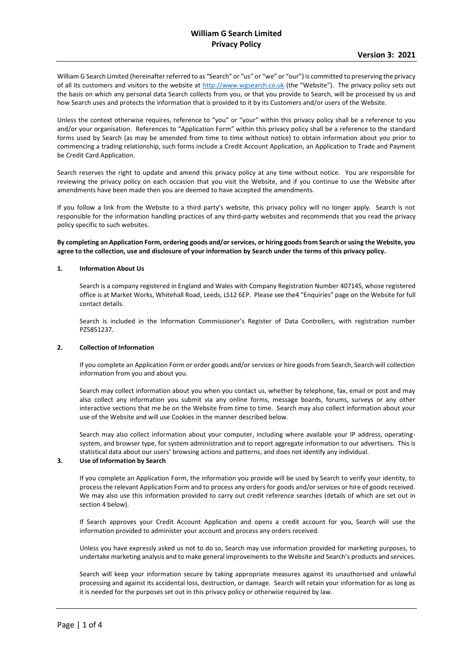William G Search Limited (hereinafter referred to as "Search" or "us" or "we" or "our") is committed to preserving the privacy of all its customers and visitors to the website at [http://www.wgsearch.co.uk](http://www.wgsearch.co.uk/) (the "Website"). The privacy policy sets out the basis on which any personal data Search collects from you, or that you provide to Search, will be processed by us and how Search uses and protects the information that is provided to it by its Customers and/or users of the Website.

Unless the context otherwise requires, reference to "you" or "your" within this privacy policy shall be a reference to you and/or your organisation. References to "Application Form" within this privacy policy shall be a reference to the standard forms used by Search (as may be amended from time to time without notice) to obtain information about you prior to commencing a trading relationship, such forms include a Credit Account Application, an Application to Trade and Payment be Credit Card Application.

Search reserves the right to update and amend this privacy policy at any time without notice. You are responsible for reviewing the privacy policy on each occasion that you visit the Website, and if you continue to use the Website after amendments have been made then you are deemed to have accepted the amendments.

If you follow a link from the Website to a third party's website, this privacy policy will no longer apply. Search is not responsible for the information handling practices of any third-party websites and recommends that you read the privacy policy specific to such websites.

**By completing an Application Form, ordering goods and/or services, or hiring goods from Search or using the Website, you agree to the collection, use and disclosure of your information by Search under the terms of this privacy policy.**

### **1. Information About Us**

Search is a company registered in England and Wales with Company Registration Number 407145, whose registered office is at Market Works, Whitehall Road, Leeds, LS12 6EP. Please see the4 "Enquiries" page on the Website for full contact details.

Search is included in the Information Commissioner's Register of Data Controllers, with registration number PZ5851237.

#### **2. Collection of Information**

If you complete an Application Form or order goods and/or services or hire goods from Search, Search will collection information from you and about you.

Search may collect information about you when you contact us, whether by telephone, fax, email or post and may also collect any information you submit via any online forms, message boards, forums, surveys or any other interactive sections that me be on the Website from time to time. Search may also collect information about your use of the Website and will use Cookies in the manner described below.

Search may also collect information about your computer, including where available your IP address, operatingsystem, and browser type, for system administration and to report aggregate information to our advertisers. This is statistical data about our users' browsing actions and patterns, and does not identify any individual.

# **3. Use of Information by Search**

If you complete an Application Form, the information you provide will be used by Search to verify your identity, to process the relevant Application Form and to process any orders for goods and/or services or hire of goods received. We may also use this information provided to carry out credit reference searches (details of which are set out in section 4 below).

If Search approves your Credit Account Application and opens a credit account for you, Search will use the information provided to administer your account and process any orders received.

Unless you have expressly asked us not to do so, Search may use information provided for marketing purposes, to undertake marketing analysis and to make general improvements to the Website and Search's products and services.

Search will keep your information secure by taking appropriate measures against its unauthorised and unlawful processing and against its accidental loss, destruction, or damage. Search will retain your information for as long as it is needed for the purposes set out in this privacy policy or otherwise required by law.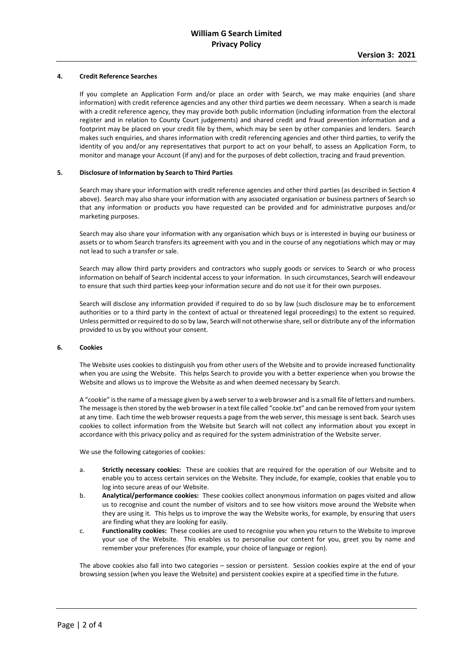## **4. Credit Reference Searches**

If you complete an Application Form and/or place an order with Search, we may make enquiries (and share information) with credit reference agencies and any other third parties we deem necessary. When a search is made with a credit reference agency, they may provide both public information (including information from the electoral register and in relation to County Court judgements) and shared credit and fraud prevention information and a footprint may be placed on your credit file by them, which may be seen by other companies and lenders. Search makes such enquiries, and shares information with credit referencing agencies and other third parties, to verify the identity of you and/or any representatives that purport to act on your behalf, to assess an Application Form, to monitor and manage your Account (if any) and for the purposes of debt collection, tracing and fraud prevention.

#### **5. Disclosure of Information by Search to Third Parties**

Search may share your information with credit reference agencies and other third parties (as described in Section 4 above). Search may also share your information with any associated organisation or business partners of Search so that any information or products you have requested can be provided and for administrative purposes and/or marketing purposes.

Search may also share your information with any organisation which buys or is interested in buying our business or assets or to whom Search transfers its agreement with you and in the course of any negotiations which may or may not lead to such a transfer or sale.

Search may allow third party providers and contractors who supply goods or services to Search or who process information on behalf of Search incidental access to your information. In such circumstances, Search will endeavour to ensure that such third parties keep your information secure and do not use it for their own purposes.

Search will disclose any information provided if required to do so by law (such disclosure may be to enforcement authorities or to a third party in the context of actual or threatened legal proceedings) to the extent so required. Unless permitted or required to do so by law, Search will not otherwise share, sell or distribute any of the information provided to us by you without your consent.

#### **6. Cookies**

The Website uses cookies to distinguish you from other users of the Website and to provide increased functionality when you are using the Website. This helps Search to provide you with a better experience when you browse the Website and allows us to improve the Website as and when deemed necessary by Search.

A "cookie" is the name of a message given by a web server to a web browser and is a small file of letters and numbers. The message is then stored by the web browser in a text file called "cookie.txt" and can be removed from your system at any time. Each time the web browser requests a page from the web server, this message is sent back. Search uses cookies to collect information from the Website but Search will not collect any information about you except in accordance with this privacy policy and as required for the system administration of the Website server.

We use the following categories of cookies:

- a. **Strictly necessary cookies:** These are cookies that are required for the operation of our Website and to enable you to access certain services on the Website. They include, for example, cookies that enable you to log into secure areas of our Website.
- b. **Analytical/performance cookies:** These cookies collect anonymous information on pages visited and allow us to recognise and count the number of visitors and to see how visitors move around the Website when they are using it. This helps us to improve the way the Website works, for example, by ensuring that users are finding what they are looking for easily.
- c. **Functionality cookies:** These cookies are used to recognise you when you return to the Website to improve your use of the Website. This enables us to personalise our content for you, greet you by name and remember your preferences (for example, your choice of language or region).

The above cookies also fall into two categories – session or persistent. Session cookies expire at the end of your browsing session (when you leave the Website) and persistent cookies expire at a specified time in the future.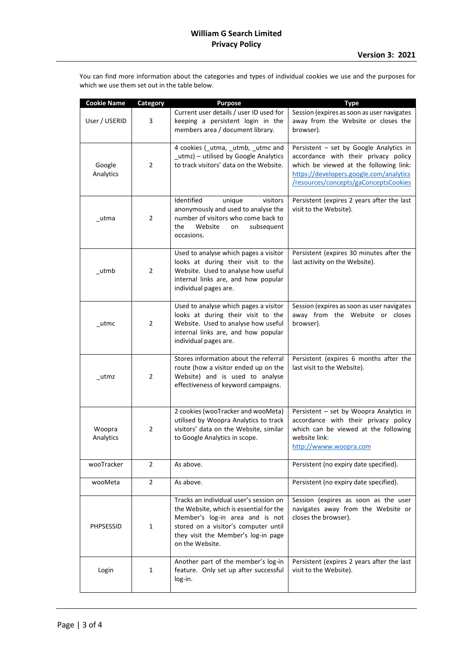You can find more information about the categories and types of individual cookies we use and the purposes for which we use them set out in the table below.

| <b>Cookie Name</b>  | Category       | <b>Purpose</b>                                                                                                                                                                                                         | <b>Type</b>                                                                                                                                                                                                   |
|---------------------|----------------|------------------------------------------------------------------------------------------------------------------------------------------------------------------------------------------------------------------------|---------------------------------------------------------------------------------------------------------------------------------------------------------------------------------------------------------------|
| User / USERID       | 3              | Current user details / user ID used for<br>keeping a persistent login in the<br>members area / document library.                                                                                                       | Session (expires as soon as user navigates<br>away from the Website or closes the<br>browser).                                                                                                                |
| Google<br>Analytics | $\overline{2}$ | 4 cookies (_utma, _utmb, _utmc and<br>utmz) - utilised by Google Analytics<br>to track visitors' data on the Website.                                                                                                  | Persistent - set by Google Analytics in<br>accordance with their privacy policy<br>which be viewed at the following link:<br>https://developers.google.com/analytics<br>/resources/concepts/gaConceptsCookies |
| utma                | 2              | Identified<br>unique<br>visitors<br>anonymously and used to analyse the<br>number of visitors who come back to<br>the<br>Website<br>subsequent<br>on<br>occasions.                                                     | Persistent (expires 2 years after the last<br>visit to the Website).                                                                                                                                          |
| utmb                | 2              | Used to analyse which pages a visitor<br>looks at during their visit to the<br>Website. Used to analyse how useful<br>internal links are, and how popular<br>individual pages are.                                     | Persistent (expires 30 minutes after the<br>last activity on the Website).                                                                                                                                    |
| utmc                | 2              | Used to analyse which pages a visitor<br>looks at during their visit to the<br>Website. Used to analyse how useful<br>internal links are, and how popular<br>individual pages are.                                     | Session (expires as soon as user navigates<br>away from the Website or closes<br>browser).                                                                                                                    |
| utmz                | 2              | Stores information about the referral<br>route (how a visitor ended up on the<br>Website) and is used to analyse<br>effectiveness of keyword campaigns.                                                                | Persistent (expires 6 months after the<br>last visit to the Website).                                                                                                                                         |
| Woopra<br>Analytics | $\overline{2}$ | 2 cookies (wooTracker and wooMeta)<br>utilised by Woopra Analytics to track<br>visitors' data on the Website, similar<br>to Google Analytics in scope.                                                                 | Persistent - set by Woopra Analytics in<br>accordance with their privacy policy<br>which can be viewed at the following<br>website link:<br>http://wwww.woopra.com                                            |
| wooTracker          | $\overline{2}$ | As above.                                                                                                                                                                                                              | Persistent (no expiry date specified).                                                                                                                                                                        |
| wooMeta             | $\overline{2}$ | As above.                                                                                                                                                                                                              | Persistent (no expiry date specified).                                                                                                                                                                        |
| <b>PHPSESSID</b>    | 1              | Tracks an individual user's session on<br>the Website, which is essential for the<br>Member's log-in area and is not<br>stored on a visitor's computer until<br>they visit the Member's log-in page<br>on the Website. | Session (expires as soon as the user<br>navigates away from the Website or<br>closes the browser).                                                                                                            |
| Login               | $\mathbf{1}$   | Another part of the member's log-in<br>feature. Only set up after successful<br>log-in.                                                                                                                                | Persistent (expires 2 years after the last<br>visit to the Website).                                                                                                                                          |